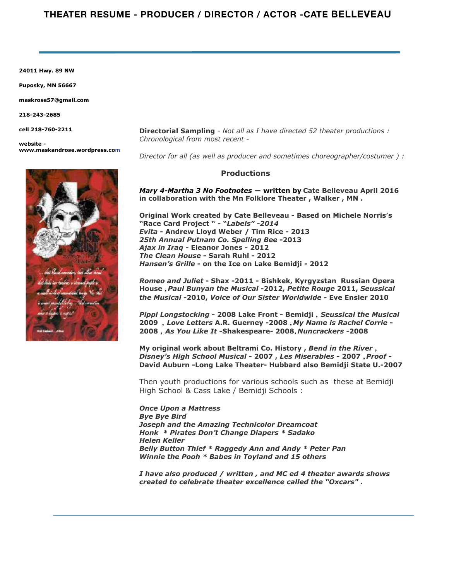**24011 Hwy. 89 NW** 

**Puposky, MN 56667** 

**maskrose57@gmail.com** 

**218-243-2685** 

**cell 218-760-2211** 

**website www.maskandrose.wordpress.co**m



*Director for all (as well as producer and sometimes choreographer/costumer ) :*

## **Productions**

*Mary 4-Martha 3 No Footnotes* **— written by Cate Belleveau April 2016 in collaboration with the Mn Folklore Theater , Walker , MN .** 

**Original Work created by Cate Belleveau - Based on Michele Norris's "Race Card Project " - "***Labels" -2014 Evita* **- Andrew Lloyd Weber / Tim Rice - 2013** *25th Annual Putnam Co. Spelling Bee* **-2013** *Ajax in Iraq* **- Eleanor Jones - 2012** *The Clean House* **- Sarah Ruhl - 2012** *Hansen's Grille* **- on the Ice on Lake Bemidji - 2012** 

*Romeo and Juliet* **- Shax -2011 - Bishkek, Kyrgyzstan Russian Opera House ,** *Paul Bunyan the Musical* **-2012,** *Petite Rouge* **2011,** *Seussical the Musical* **-2010,** *Voice of Our Sister Worldwide* **- Eve Ensler 2010** 

*Pippi Longstocking* **- 2008 Lake Front - Bemidji ,** *Seussical the Musical* **2009 ,** *Love Letters* **A.R. Guerney -2008 ,** *My Name is Rachel Corrie* **- 2008 ,** *As You Like It* **-Shakespeare- 2008,** *Nuncrackers -***2008**

**My original work about Beltrami Co. History ,** *Bend in the River* **,**  *Disney's High School Musical* **- 2007 ,** *Les Miserables* **- 2007 ,** *Proof -* **David Auburn -Long Lake Theater- Hubbard also Bemidji State U.-2007** 

Then youth productions for various schools such as these at Bemidji High School & Cass Lake / Bemidji Schools :

*Once Upon a Mattress Bye Bye Bird Joseph and the Amazing Technicolor Dreamcoat Honk \* Pirates Don't Change Diapers \* Sadako Helen Keller Belly Button Thief \* Raggedy Ann and Andy \* Peter Pan Winnie the Pooh \* Babes in Toyland and 15 others* 

*I have also produced / written , and MC ed 4 theater awards shows created to celebrate theater excellence called the "Oxcars" .*